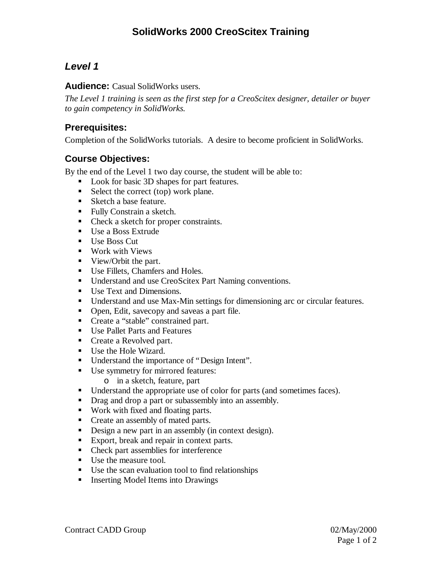# **SolidWorks 2000 CreoScitex Training**

# *Level 1*

**Audience:** Casual SolidWorks users.

*The Level 1 training is seen as the first step for a CreoScitex designer, detailer or buyer to gain competency in SolidWorks.*

#### **Prerequisites:**

Completion of the SolidWorks tutorials. A desire to become proficient in SolidWorks.

#### **Course Objectives:**

By the end of the Level 1 two day course, the student will be able to:

- Look for basic 3D shapes for part features.
- $\blacksquare$  Select the correct (top) work plane.
- Sketch a base feature.
- **Fully Constrain a sketch.**
- Check a sketch for proper constraints.
- Use a Boss Extrude
- $\blacksquare$  Use Boss Cut
- Work with Views
- View/Orbit the part.
- Use Fillets, Chamfers and Holes.
- **•** Understand and use CreoScitex Part Naming conventions.
- $\blacksquare$  Use Text and Dimensions.
- **•** Understand and use Max-Min settings for dimensioning arc or circular features.
- Open, Edit, savecopy and saveas a part file.
- Create a "stable" constrained part.
- Use Pallet Parts and Features
- Create a Revolved part.
- Use the Hole Wizard.
- Understand the importance of "Design Intent".
- Use symmetry for mirrored features:
	- o in a sketch, feature, part
- Understand the appropriate use of color for parts (and sometimes faces).
- **•** Drag and drop a part or subassembly into an assembly.
- Work with fixed and floating parts.
- Create an assembly of mated parts.
- **•** Design a new part in an assembly (in context design).
- Export, break and repair in context parts.
- Check part assemblies for interference
- Use the measure tool.
- $\blacksquare$  Use the scan evaluation tool to find relationships
- **Inserting Model Items into Drawings**